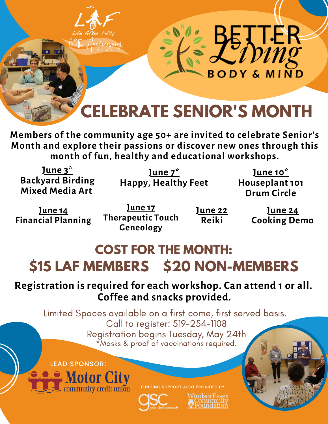

**Members of the community age 50+ are invited to celebrate Senior's Month and explore their passions or discover new ones through this month of fun, healthy and educational workshops.**

**June 3\* Backyard Birding Mixed Media Art**

**June 7\* Happy, Healthy Feet**

**June 10\* Houseplant 101 Drum Circle**

**June 14 Financial Planning**

**June 17 Therapeutic Touch Geneology**

**June 22 Reiki**

**June 24 Cooking Demo**

# **COST FOR THE MONTH: \$15 LAF MEMBERS \$20 NON-MEMBERS**

# **Registration is required for each workshop. Can attend 1 or all. Coffee and snacks provided.**

Limited Spaces available on a first come, first served basis. Call to register: 519-254-1108 Registration begins Tuesday, May 24th \*Masks & proof of vaccinations required.





FUNDING SUPPORT ALSO PROVIDED BY: